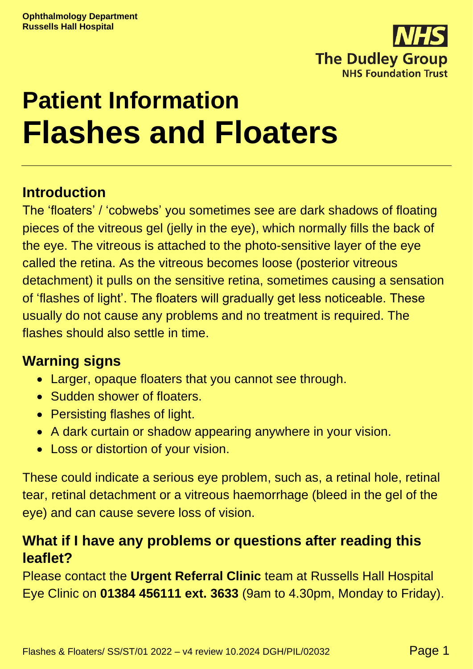

# **Patient Information Flashes and Floaters**

### **Introduction**

The 'floaters' / 'cobwebs' you sometimes see are dark shadows of floating pieces of the vitreous gel (jelly in the eye), which normally fills the back of the eye. The vitreous is attached to the photo-sensitive layer of the eye called the retina. As the vitreous becomes loose (posterior vitreous detachment) it pulls on the sensitive retina, sometimes causing a sensation of 'flashes of light'. The floaters will gradually get less noticeable. These usually do not cause any problems and no treatment is required. The flashes should also settle in time.

#### **Warning signs**

- Larger, opaque floaters that you cannot see through.
- Sudden shower of floaters.
- Persisting flashes of light.
- A dark curtain or shadow appearing anywhere in your vision.
- Loss or distortion of your vision.

These could indicate a serious eye problem, such as, a retinal hole, retinal tear, retinal detachment or a vitreous haemorrhage (bleed in the gel of the eye) and can cause severe loss of vision.

## **What if I have any problems or questions after reading this leaflet?**

Please contact the **Urgent Referral Clinic** team at Russells Hall Hospital Eye Clinic on **01384 456111 ext. 3633** (9am to 4.30pm, Monday to Friday).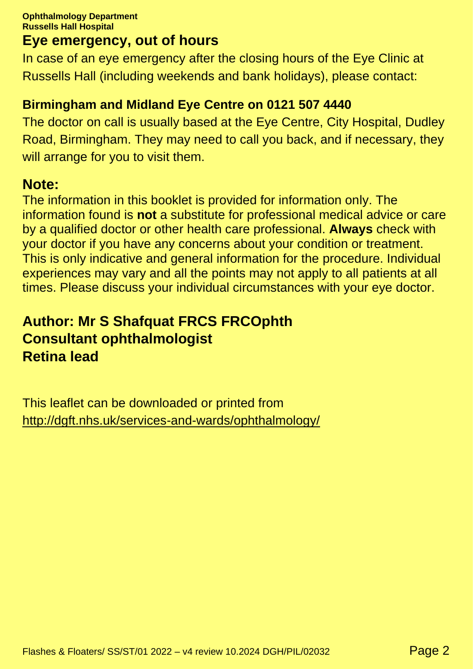### **Eye emergency, out of hours**

In case of an eye emergency after the closing hours of the Eye Clinic at Russells Hall (including weekends and bank holidays), please contact:

#### **Birmingham and Midland Eye Centre on 0121 507 4440**

The doctor on call is usually based at the Eye Centre, City Hospital, Dudley Road, Birmingham. They may need to call you back, and if necessary, they will arrange for you to visit them.

#### **Note:**

The information in this booklet is provided for information only. The information found is **not** a substitute for professional medical advice or care by a qualified doctor or other health care professional. **Always** check with your doctor if you have any concerns about your condition or treatment. This is only indicative and general information for the procedure. Individual experiences may vary and all the points may not apply to all patients at all times. Please discuss your individual circumstances with your eye doctor.

## **Author: Mr S Shafquat FRCS FRCOphth Consultant ophthalmologist Retina lead**

This leaflet can be downloaded or printed from <http://dgft.nhs.uk/services-and-wards/ophthalmology/>